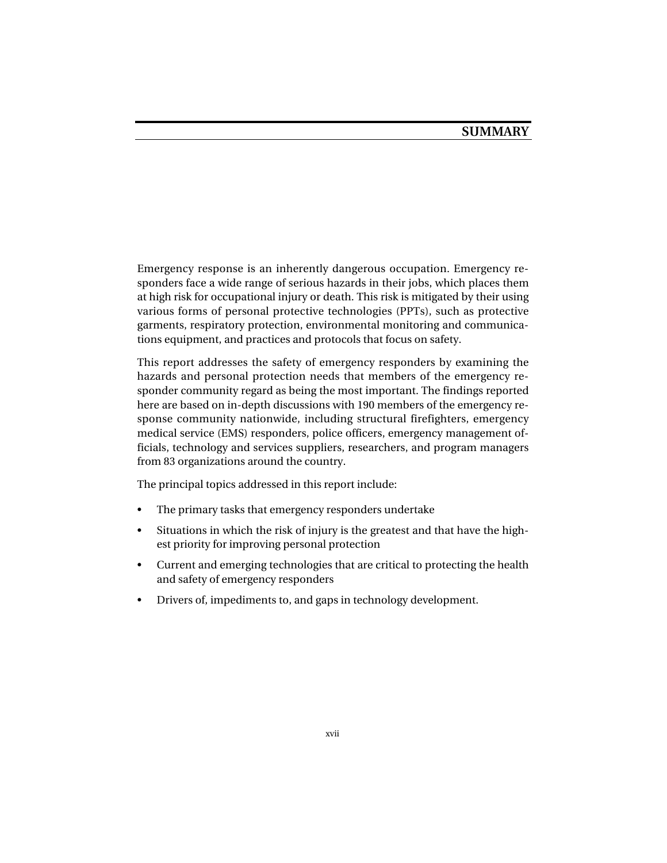Emergency response is an inherently dangerous occupation. Emergency responders face a wide range of serious hazards in their jobs, which places them at high risk for occupational injury or death. This risk is mitigated by their using various forms of personal protective technologies (PPTs), such as protective garments, respiratory protection, environmental monitoring and communications equipment, and practices and protocols that focus on safety.

This report addresses the safety of emergency responders by examining the hazards and personal protection needs that members of the emergency responder community regard as being the most important. The findings reported here are based on in-depth discussions with 190 members of the emergency response community nationwide, including structural firefighters, emergency medical service (EMS) responders, police officers, emergency management officials, technology and services suppliers, researchers, and program managers from 83 organizations around the country.

The principal topics addressed in this report include:

- • The primary tasks that emergency responders undertake
- Situations in which the risk of injury is the greatest and that have the highest priority for improving personal protection
- • Current and emerging technologies that are critical to protecting the health and safety of emergency responders
- • Drivers of, impediments to, and gaps in technology development.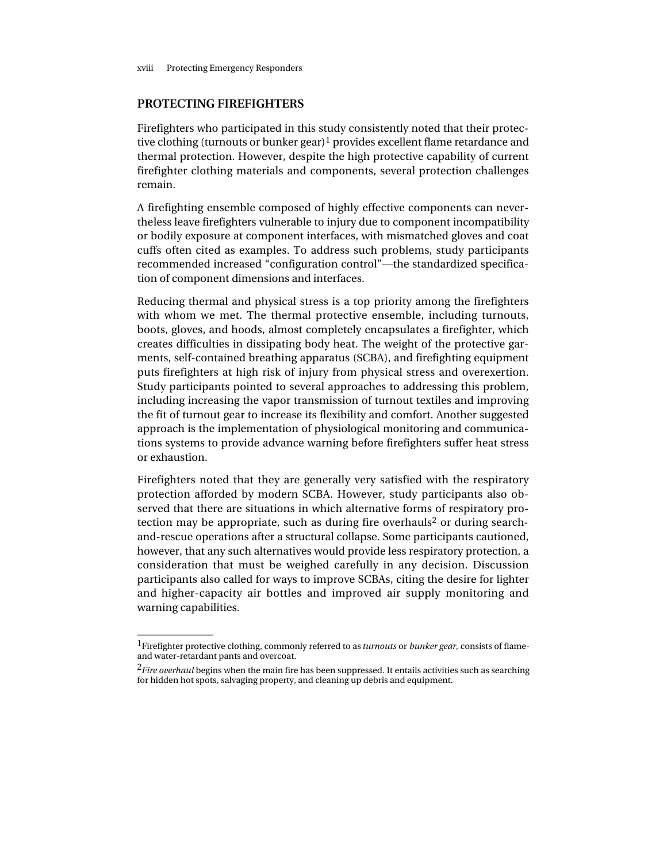### **PROTECTING FIREFIGHTERS**

\_\_\_\_\_\_\_\_\_\_\_\_\_\_

Firefighters who participated in this study consistently noted that their protective clothing (turnouts or bunker gear)<sup>1</sup> provides excellent flame retardance and thermal protection. However, despite the high protective capability of current firefighter clothing materials and components, several protection challenges remain.

A firefighting ensemble composed of highly effective components can nevertheless leave firefighters vulnerable to injury due to component incompatibility or bodily exposure at component interfaces, with mismatched gloves and coat cuffs often cited as examples. To address such problems, study participants recommended increased "configuration control"—the standardized specification of component dimensions and interfaces.

Reducing thermal and physical stress is a top priority among the firefighters with whom we met. The thermal protective ensemble, including turnouts, boots, gloves, and hoods, almost completely encapsulates a firefighter, which creates difficulties in dissipating body heat. The weight of the protective garments, self-contained breathing apparatus (SCBA), and firefighting equipment puts firefighters at high risk of injury from physical stress and overexertion. Study participants pointed to several approaches to addressing this problem, including increasing the vapor transmission of turnout textiles and improving the fit of turnout gear to increase its flexibility and comfort. Another suggested approach is the implementation of physiological monitoring and communications systems to provide advance warning before firefighters suffer heat stress or exhaustion.

Firefighters noted that they are generally very satisfied with the respiratory protection afforded by modern SCBA. However, study participants also observed that there are situations in which alternative forms of respiratory protection may be appropriate, such as during fire overhauls<sup>2</sup> or during searchand-rescue operations after a structural collapse. Some participants cautioned, however, that any such alternatives would provide less respiratory protection, a consideration that must be weighed carefully in any decision. Discussion participants also called for ways to improve SCBAs, citing the desire for lighter and higher-capacity air bottles and improved air supply monitoring and warning capabilities.

<sup>1</sup>Firefighter protective clothing, commonly referred to as *turnouts* or *bunker gear,* consists of flameand water-retardant pants and overcoat.

<sup>2</sup>*Fire overhaul* begins when the main fire has been suppressed. It entails activities such as searching for hidden hot spots, salvaging property, and cleaning up debris and equipment.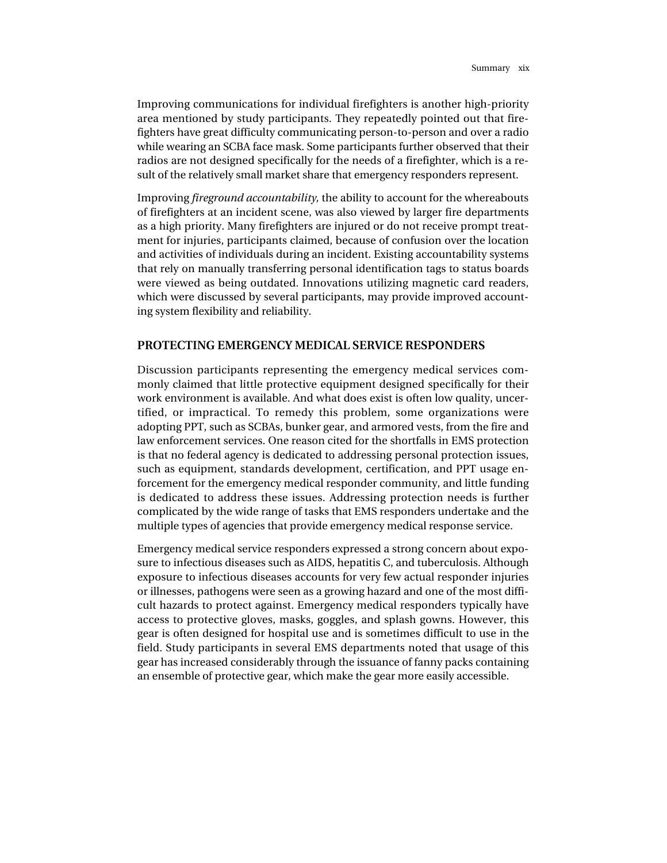Improving communications for individual firefighters is another high-priority area mentioned by study participants. They repeatedly pointed out that firefighters have great difficulty communicating person-to-person and over a radio while wearing an SCBA face mask. Some participants further observed that their radios are not designed specifically for the needs of a firefighter, which is a result of the relatively small market share that emergency responders represent.

Improving *fireground accountability,* the ability to account for the whereabouts of firefighters at an incident scene, was also viewed by larger fire departments as a high priority. Many firefighters are injured or do not receive prompt treatment for injuries, participants claimed, because of confusion over the location and activities of individuals during an incident. Existing accountability systems that rely on manually transferring personal identification tags to status boards were viewed as being outdated. Innovations utilizing magnetic card readers, which were discussed by several participants, may provide improved accounting system flexibility and reliability.

### **PROTECTING EMERGENCY MEDICAL SERVICE RESPONDERS**

Discussion participants representing the emergency medical services commonly claimed that little protective equipment designed specifically for their work environment is available. And what does exist is often low quality, uncertified, or impractical. To remedy this problem, some organizations were adopting PPT, such as SCBAs, bunker gear, and armored vests, from the fire and law enforcement services. One reason cited for the shortfalls in EMS protection is that no federal agency is dedicated to addressing personal protection issues, such as equipment, standards development, certification, and PPT usage enforcement for the emergency medical responder community, and little funding is dedicated to address these issues. Addressing protection needs is further complicated by the wide range of tasks that EMS responders undertake and the multiple types of agencies that provide emergency medical response service.

Emergency medical service responders expressed a strong concern about exposure to infectious diseases such as AIDS, hepatitis C, and tuberculosis. Although exposure to infectious diseases accounts for very few actual responder injuries or illnesses, pathogens were seen as a growing hazard and one of the most difficult hazards to protect against. Emergency medical responders typically have access to protective gloves, masks, goggles, and splash gowns. However, this gear is often designed for hospital use and is sometimes difficult to use in the field. Study participants in several EMS departments noted that usage of this gear has increased considerably through the issuance of fanny packs containing an ensemble of protective gear, which make the gear more easily accessible.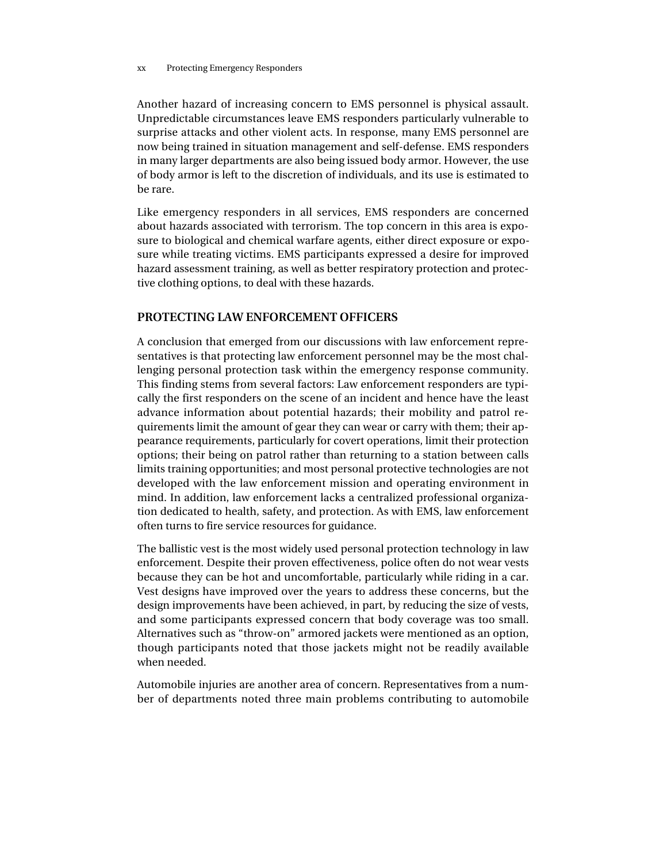Another hazard of increasing concern to EMS personnel is physical assault. Unpredictable circumstances leave EMS responders particularly vulnerable to surprise attacks and other violent acts. In response, many EMS personnel are now being trained in situation management and self-defense. EMS responders in many larger departments are also being issued body armor. However, the use of body armor is left to the discretion of individuals, and its use is estimated to be rare.

Like emergency responders in all services, EMS responders are concerned about hazards associated with terrorism. The top concern in this area is exposure to biological and chemical warfare agents, either direct exposure or exposure while treating victims. EMS participants expressed a desire for improved hazard assessment training, as well as better respiratory protection and protective clothing options, to deal with these hazards.

## **PROTECTING LAW ENFORCEMENT OFFICERS**

A conclusion that emerged from our discussions with law enforcement representatives is that protecting law enforcement personnel may be the most challenging personal protection task within the emergency response community. This finding stems from several factors: Law enforcement responders are typically the first responders on the scene of an incident and hence have the least advance information about potential hazards; their mobility and patrol requirements limit the amount of gear they can wear or carry with them; their appearance requirements, particularly for covert operations, limit their protection options; their being on patrol rather than returning to a station between calls limits training opportunities; and most personal protective technologies are not developed with the law enforcement mission and operating environment in mind. In addition, law enforcement lacks a centralized professional organization dedicated to health, safety, and protection. As with EMS, law enforcement often turns to fire service resources for guidance.

The ballistic vest is the most widely used personal protection technology in law enforcement. Despite their proven effectiveness, police often do not wear vests because they can be hot and uncomfortable, particularly while riding in a car. Vest designs have improved over the years to address these concerns, but the design improvements have been achieved, in part, by reducing the size of vests, and some participants expressed concern that body coverage was too small. Alternatives such as "throw-on" armored jackets were mentioned as an option, though participants noted that those jackets might not be readily available when needed.

Automobile injuries are another area of concern. Representatives from a number of departments noted three main problems contributing to automobile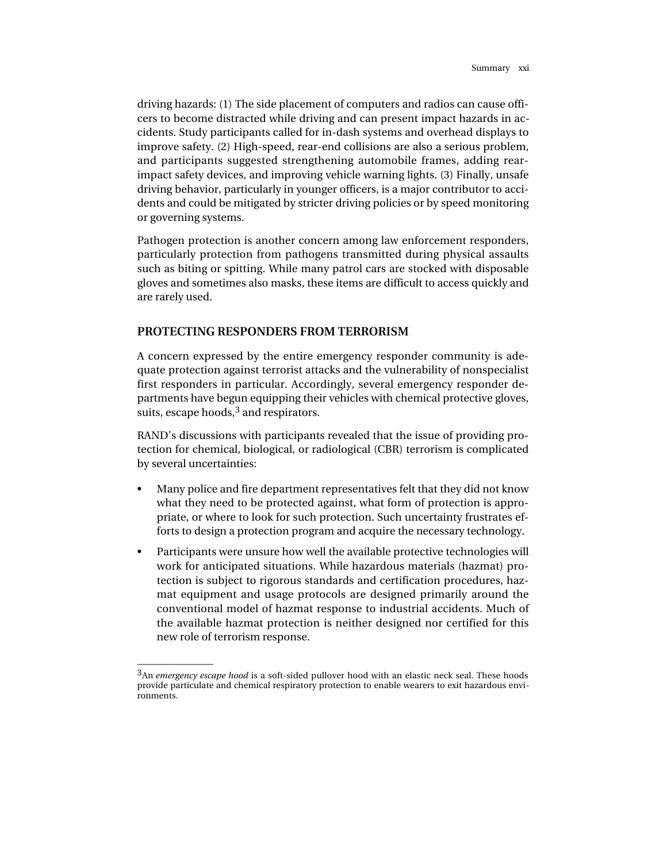driving hazards: (1) The side placement of computers and radios can cause officers to become distracted while driving and can present impact hazards in accidents. Study participants called for in-dash systems and overhead displays to improve safety. (2) High-speed, rear-end collisions are also a serious problem, and participants suggested strengthening automobile frames, adding rearimpact safety devices, and improving vehicle warning lights. (3) Finally, unsafe driving behavior, particularly in younger officers, is a major contributor to accidents and could be mitigated by stricter driving policies or by speed monitoring or governing systems.

Pathogen protection is another concern among law enforcement responders, particularly protection from pathogens transmitted during physical assaults such as biting or spitting. While many patrol cars are stocked with disposable gloves and sometimes also masks, these items are difficult to access quickly and are rarely used.

## **PROTECTING RESPONDERS FROM TERRORISM**

A concern expressed by the entire emergency responder community is adequate protection against terrorist attacks and the vulnerability of nonspecialist first responders in particular. Accordingly, several emergency responder departments have begun equipping their vehicles with chemical protective gloves, suits, escape hoods, $3$  and respirators.

RAND's discussions with participants revealed that the issue of providing protection for chemical, biological, or radiological (CBR) terrorism is complicated by several uncertainties:

- Many police and fire department representatives felt that they did not know what they need to be protected against, what form of protection is appropriate, or where to look for such protection. Such uncertainty frustrates efforts to design a protection program and acquire the necessary technology.
- • Participants were unsure how well the available protective technologies will work for anticipated situations. While hazardous materials (hazmat) protection is subject to rigorous standards and certification procedures, hazmat equipment and usage protocols are designed primarily around the conventional model of hazmat response to industrial accidents. Much of the available hazmat protection is neither designed nor certified for this new role of terrorism response.

 $\overline{\phantom{a}}$  , where the contract of  $\overline{\phantom{a}}$ 

<sup>3</sup>An *emergency escape hood* is a soft-sided pullover hood with an elastic neck seal. These hoods provide particulate and chemical respiratory protection to enable wearers to exit hazardous environments.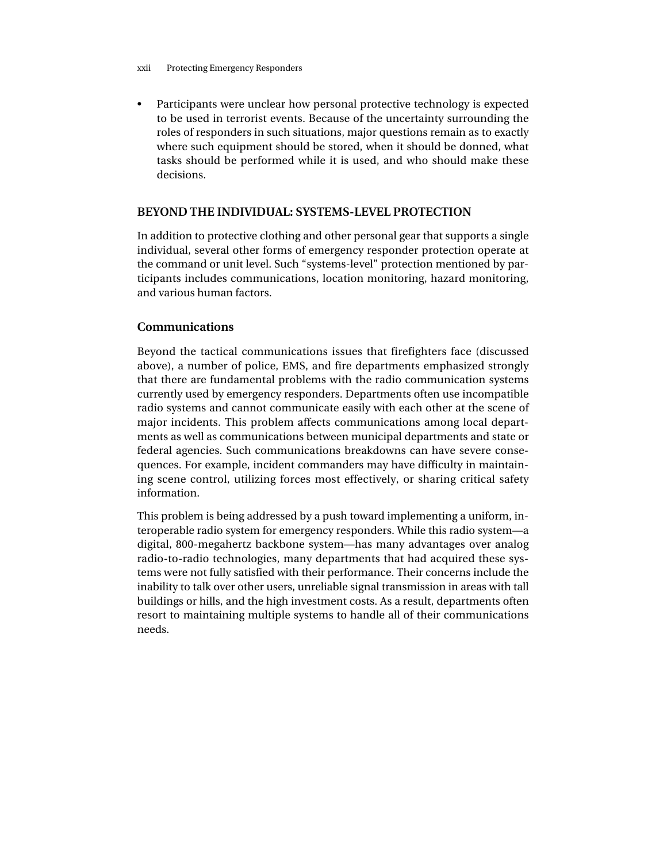• Participants were unclear how personal protective technology is expected to be used in terrorist events. Because of the uncertainty surrounding the roles of responders in such situations, major questions remain as to exactly where such equipment should be stored, when it should be donned, what tasks should be performed while it is used, and who should make these decisions.

### **BEYOND THE INDIVIDUAL: SYSTEMS-LEVEL PROTECTION**

In addition to protective clothing and other personal gear that supports a single individual, several other forms of emergency responder protection operate at the command or unit level. Such "systems-level" protection mentioned by participants includes communications, location monitoring, hazard monitoring, and various human factors.

## **Communications**

Beyond the tactical communications issues that firefighters face (discussed above), a number of police, EMS, and fire departments emphasized strongly that there are fundamental problems with the radio communication systems currently used by emergency responders. Departments often use incompatible radio systems and cannot communicate easily with each other at the scene of major incidents. This problem affects communications among local departments as well as communications between municipal departments and state or federal agencies. Such communications breakdowns can have severe consequences. For example, incident commanders may have difficulty in maintaining scene control, utilizing forces most effectively, or sharing critical safety information.

This problem is being addressed by a push toward implementing a uniform, interoperable radio system for emergency responders. While this radio system—a digital, 800-megahertz backbone system—has many advantages over analog radio-to-radio technologies, many departments that had acquired these systems were not fully satisfied with their performance. Their concerns include the inability to talk over other users, unreliable signal transmission in areas with tall buildings or hills, and the high investment costs. As a result, departments often resort to maintaining multiple systems to handle all of their communications needs.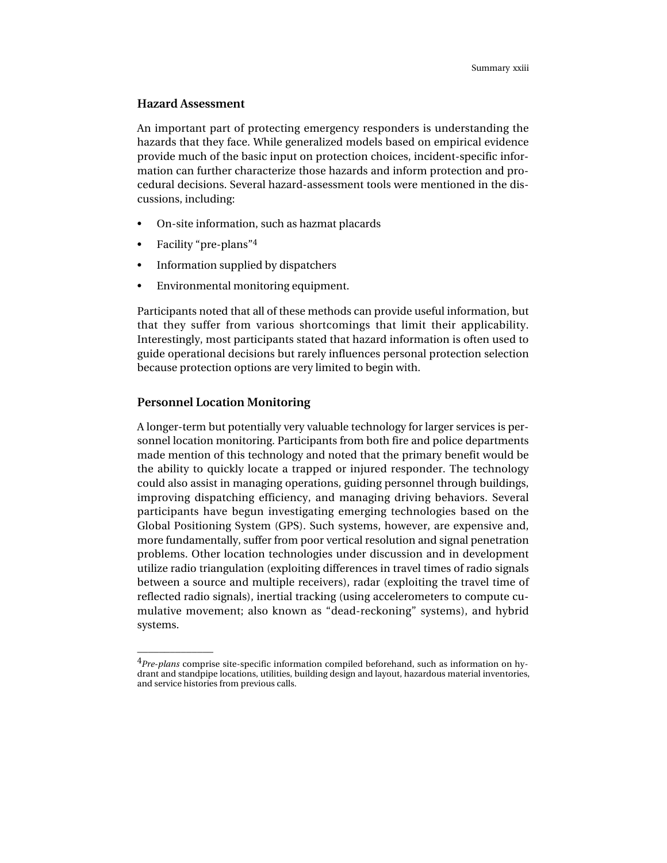## **Hazard Assessment**

An important part of protecting emergency responders is understanding the hazards that they face. While generalized models based on empirical evidence provide much of the basic input on protection choices, incident-specific information can further characterize those hazards and inform protection and procedural decisions. Several hazard-assessment tools were mentioned in the discussions, including:

- On-site information, such as hazmat placards
- Facility "pre-plans"<sup>4</sup>
- Information supplied by dispatchers
- Environmental monitoring equipment.

Participants noted that all of these methods can provide useful information, but that they suffer from various shortcomings that limit their applicability. Interestingly, most participants stated that hazard information is often used to guide operational decisions but rarely influences personal protection selection because protection options are very limited to begin with.

### **Personnel Location Monitoring**

\_\_\_\_\_\_\_\_\_\_\_\_\_\_

A longer-term but potentially very valuable technology for larger services is personnel location monitoring. Participants from both fire and police departments made mention of this technology and noted that the primary benefit would be the ability to quickly locate a trapped or injured responder. The technology could also assist in managing operations, guiding personnel through buildings, improving dispatching efficiency, and managing driving behaviors. Several participants have begun investigating emerging technologies based on the Global Positioning System (GPS). Such systems, however, are expensive and, more fundamentally, suffer from poor vertical resolution and signal penetration problems. Other location technologies under discussion and in development utilize radio triangulation (exploiting differences in travel times of radio signals between a source and multiple receivers), radar (exploiting the travel time of reflected radio signals), inertial tracking (using accelerometers to compute cumulative movement; also known as "dead-reckoning" systems), and hybrid systems.

<sup>4</sup>*Pre-plans* comprise site-specific information compiled beforehand, such as information on hydrant and standpipe locations, utilities, building design and layout, hazardous material inventories, and service histories from previous calls.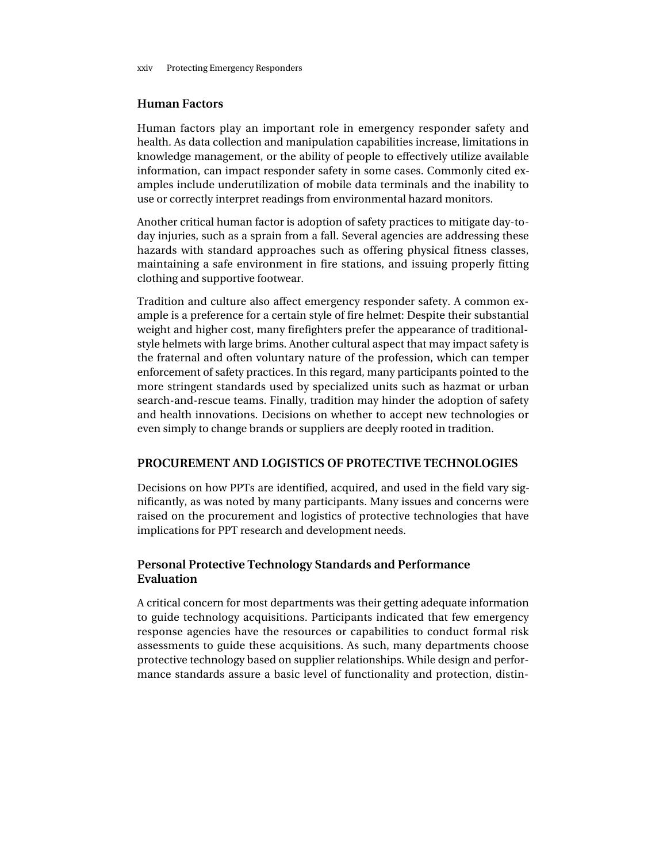### **Human Factors**

Human factors play an important role in emergency responder safety and health. As data collection and manipulation capabilities increase, limitations in knowledge management, or the ability of people to effectively utilize available information, can impact responder safety in some cases. Commonly cited examples include underutilization of mobile data terminals and the inability to use or correctly interpret readings from environmental hazard monitors.

Another critical human factor is adoption of safety practices to mitigate day-today injuries, such as a sprain from a fall. Several agencies are addressing these hazards with standard approaches such as offering physical fitness classes, maintaining a safe environment in fire stations, and issuing properly fitting clothing and supportive footwear.

Tradition and culture also affect emergency responder safety. A common example is a preference for a certain style of fire helmet: Despite their substantial weight and higher cost, many firefighters prefer the appearance of traditionalstyle helmets with large brims. Another cultural aspect that may impact safety is the fraternal and often voluntary nature of the profession, which can temper enforcement of safety practices. In this regard, many participants pointed to the more stringent standards used by specialized units such as hazmat or urban search-and-rescue teams. Finally, tradition may hinder the adoption of safety and health innovations. Decisions on whether to accept new technologies or even simply to change brands or suppliers are deeply rooted in tradition.

#### **PROCUREMENT AND LOGISTICS OF PROTECTIVE TECHNOLOGIES**

Decisions on how PPTs are identified, acquired, and used in the field vary significantly, as was noted by many participants. Many issues and concerns were raised on the procurement and logistics of protective technologies that have implications for PPT research and development needs.

## **Personal Protective Technology Standards and Performance Evaluation**

A critical concern for most departments was their getting adequate information to guide technology acquisitions. Participants indicated that few emergency response agencies have the resources or capabilities to conduct formal risk assessments to guide these acquisitions. As such, many departments choose protective technology based on supplier relationships. While design and performance standards assure a basic level of functionality and protection, distin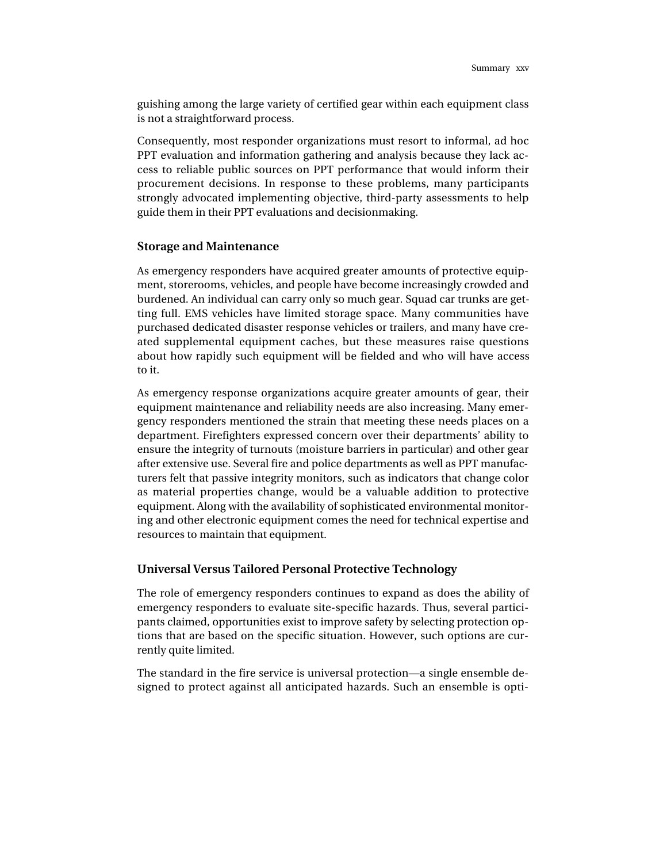guishing among the large variety of certified gear within each equipment class is not a straightforward process.

Consequently, most responder organizations must resort to informal, ad hoc PPT evaluation and information gathering and analysis because they lack access to reliable public sources on PPT performance that would inform their procurement decisions. In response to these problems, many participants strongly advocated implementing objective, third-party assessments to help guide them in their PPT evaluations and decisionmaking.

### **Storage and Maintenance**

As emergency responders have acquired greater amounts of protective equipment, storerooms, vehicles, and people have become increasingly crowded and burdened. An individual can carry only so much gear. Squad car trunks are getting full. EMS vehicles have limited storage space. Many communities have purchased dedicated disaster response vehicles or trailers, and many have created supplemental equipment caches, but these measures raise questions about how rapidly such equipment will be fielded and who will have access to it.

As emergency response organizations acquire greater amounts of gear, their equipment maintenance and reliability needs are also increasing. Many emergency responders mentioned the strain that meeting these needs places on a department. Firefighters expressed concern over their departments' ability to ensure the integrity of turnouts (moisture barriers in particular) and other gear after extensive use. Several fire and police departments as well as PPT manufacturers felt that passive integrity monitors, such as indicators that change color as material properties change, would be a valuable addition to protective equipment. Along with the availability of sophisticated environmental monitoring and other electronic equipment comes the need for technical expertise and resources to maintain that equipment.

## **Universal Versus Tailored Personal Protective Technology**

The role of emergency responders continues to expand as does the ability of emergency responders to evaluate site-specific hazards. Thus, several participants claimed, opportunities exist to improve safety by selecting protection options that are based on the specific situation. However, such options are currently quite limited.

The standard in the fire service is universal protection—a single ensemble designed to protect against all anticipated hazards. Such an ensemble is opti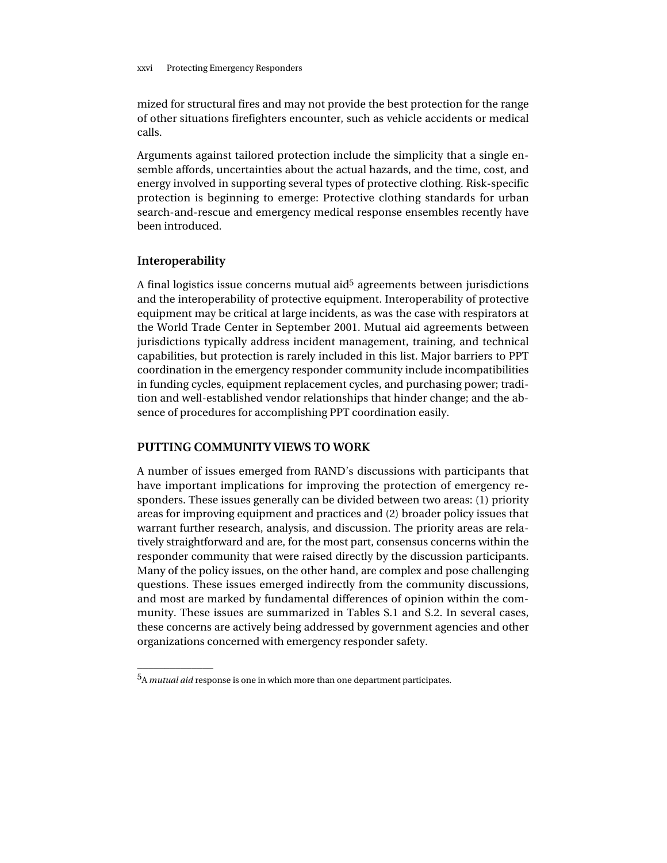mized for structural fires and may not provide the best protection for the range of other situations firefighters encounter, such as vehicle accidents or medical calls.

Arguments against tailored protection include the simplicity that a single ensemble affords, uncertainties about the actual hazards, and the time, cost, and energy involved in supporting several types of protective clothing. Risk-specific protection is beginning to emerge: Protective clothing standards for urban search-and-rescue and emergency medical response ensembles recently have been introduced.

### **Interoperability**

\_\_\_\_\_\_\_\_\_\_\_\_\_\_

A final logistics issue concerns mutual aid<sup>5</sup> agreements between jurisdictions and the interoperability of protective equipment. Interoperability of protective equipment may be critical at large incidents, as was the case with respirators at the World Trade Center in September 2001. Mutual aid agreements between jurisdictions typically address incident management, training, and technical capabilities, but protection is rarely included in this list. Major barriers to PPT coordination in the emergency responder community include incompatibilities in funding cycles, equipment replacement cycles, and purchasing power; tradition and well-established vendor relationships that hinder change; and the absence of procedures for accomplishing PPT coordination easily.

### **PUTTING COMMUNITY VIEWS TO WORK**

A number of issues emerged from RAND's discussions with participants that have important implications for improving the protection of emergency responders. These issues generally can be divided between two areas: (1) priority areas for improving equipment and practices and (2) broader policy issues that warrant further research, analysis, and discussion. The priority areas are relatively straightforward and are, for the most part, consensus concerns within the responder community that were raised directly by the discussion participants. Many of the policy issues, on the other hand, are complex and pose challenging questions. These issues emerged indirectly from the community discussions, and most are marked by fundamental differences of opinion within the community. These issues are summarized in Tables S.1 and S.2. In several cases, these concerns are actively being addressed by government agencies and other organizations concerned with emergency responder safety.

<sup>5</sup>A *mutual aid* response is one in which more than one department participates.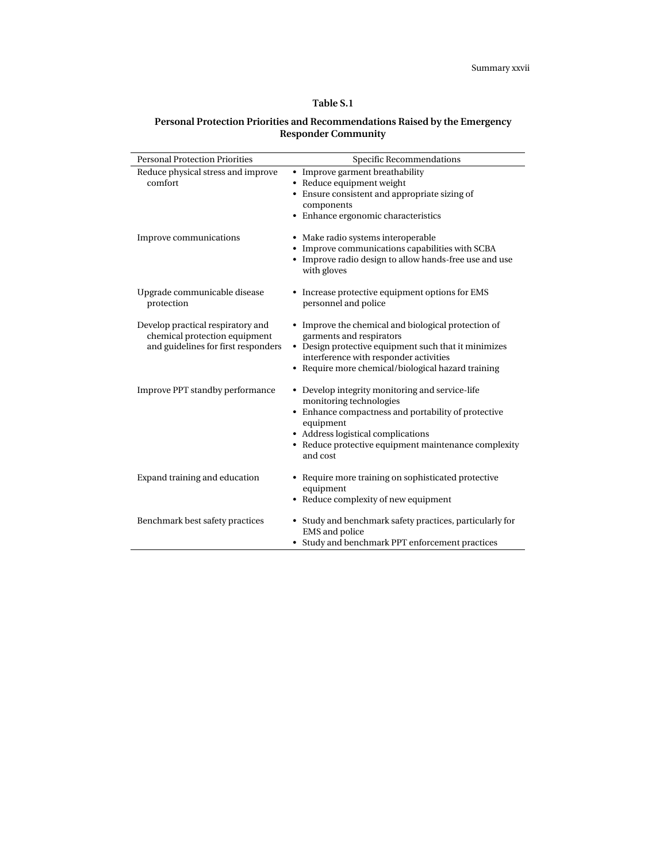## **Table S.1**

#### **Personal Protection Priorities and Recommendations Raised by the Emergency Responder Community**

| <b>Personal Protection Priorities</b>                                                                     | Specific Recommendations                                                                                                                                                                                                                                 |
|-----------------------------------------------------------------------------------------------------------|----------------------------------------------------------------------------------------------------------------------------------------------------------------------------------------------------------------------------------------------------------|
| Reduce physical stress and improve<br>comfort                                                             | • Improve garment breathability<br>Reduce equipment weight<br>• Ensure consistent and appropriate sizing of<br>components<br>• Enhance ergonomic characteristics                                                                                         |
| Improve communications                                                                                    | • Make radio systems interoperable<br>• Improve communications capabilities with SCBA<br>• Improve radio design to allow hands-free use and use<br>with gloves                                                                                           |
| Upgrade communicable disease<br>protection                                                                | • Increase protective equipment options for EMS<br>personnel and police                                                                                                                                                                                  |
| Develop practical respiratory and<br>chemical protection equipment<br>and guidelines for first responders | • Improve the chemical and biological protection of<br>garments and respirators<br>• Design protective equipment such that it minimizes<br>interference with responder activities<br>• Require more chemical/biological hazard training                  |
| Improve PPT standby performance                                                                           | • Develop integrity monitoring and service-life<br>monitoring technologies<br>• Enhance compactness and portability of protective<br>equipment<br>• Address logistical complications<br>• Reduce protective equipment maintenance complexity<br>and cost |
| Expand training and education                                                                             | • Require more training on sophisticated protective<br>equipment<br>• Reduce complexity of new equipment                                                                                                                                                 |
| Benchmark best safety practices                                                                           | • Study and benchmark safety practices, particularly for<br>EMS and police<br>• Study and benchmark PPT enforcement practices                                                                                                                            |